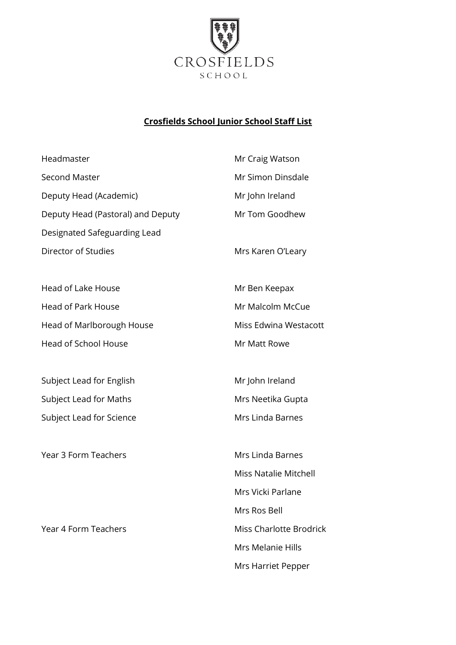

## **Crosfields School Junior School Staff List**

Mrs Harriet Pepper

| Headmaster                        | Mr Craig Watson                |
|-----------------------------------|--------------------------------|
| <b>Second Master</b>              | Mr Simon Dinsdale              |
| Deputy Head (Academic)            | Mr John Ireland                |
| Deputy Head (Pastoral) and Deputy | Mr Tom Goodhew                 |
| Designated Safeguarding Lead      |                                |
| Director of Studies               | Mrs Karen O'Leary              |
| <b>Head of Lake House</b>         | Mr Ben Keepax                  |
| <b>Head of Park House</b>         | Mr Malcolm McCue               |
| Head of Marlborough House         | Miss Edwina Westacott          |
| <b>Head of School House</b>       | Mr Matt Rowe                   |
| Subject Lead for English          | Mr John Ireland                |
| Subject Lead for Maths            | Mrs Neetika Gupta              |
| Subject Lead for Science          | Mrs Linda Barnes               |
| <b>Year 3 Form Teachers</b>       | <b>Mrs Linda Barnes</b>        |
|                                   | <b>Miss Natalie Mitchell</b>   |
|                                   | Mrs Vicki Parlane              |
|                                   | Mrs Ros Bell                   |
| Year 4 Form Teachers              | <b>Miss Charlotte Brodrick</b> |
|                                   | Mrs Melanie Hills              |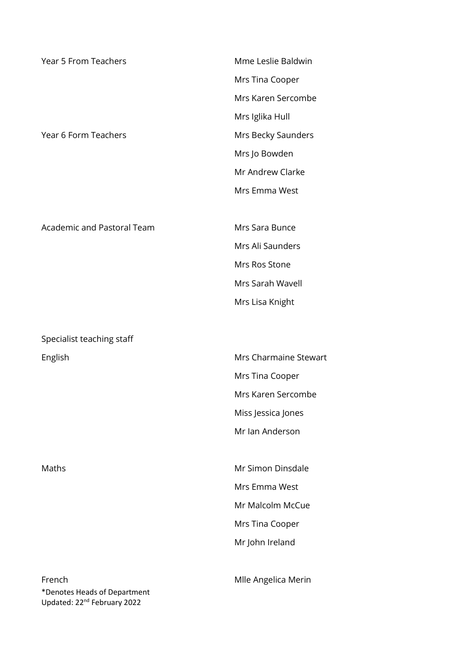| <b>Year 5 From Teachers</b>       | Mme Leslie Baldwin    |
|-----------------------------------|-----------------------|
|                                   | Mrs Tina Cooper       |
|                                   | Mrs Karen Sercombe    |
|                                   | Mrs Iglika Hull       |
| Year 6 Form Teachers              | Mrs Becky Saunders    |
|                                   | Mrs Jo Bowden         |
|                                   | Mr Andrew Clarke      |
|                                   | Mrs Emma West         |
| <b>Academic and Pastoral Team</b> | Mrs Sara Bunce        |
|                                   | Mrs Ali Saunders      |
|                                   | Mrs Ros Stone         |
|                                   | Mrs Sarah Wavell      |
|                                   | Mrs Lisa Knight       |
|                                   |                       |
| Specialist teaching staff         |                       |
| English                           | Mrs Charmaine Stewart |
|                                   | Mrs Tina Cooper       |
|                                   | Mrs Karen Sercombe    |
|                                   | Miss Jessica Jones    |
|                                   | Mr Ian Anderson       |
| Maths                             | Mr Simon Dinsdale     |
|                                   | Mrs Emma West         |
|                                   | Mr Malcolm McCue      |
|                                   | Mrs Tina Cooper       |
|                                   | Mr John Ireland       |
|                                   |                       |
| French                            | Mlle Angelica Merin   |

\*Denotes Heads of Department Updated: 22<sup>nd</sup> February 2022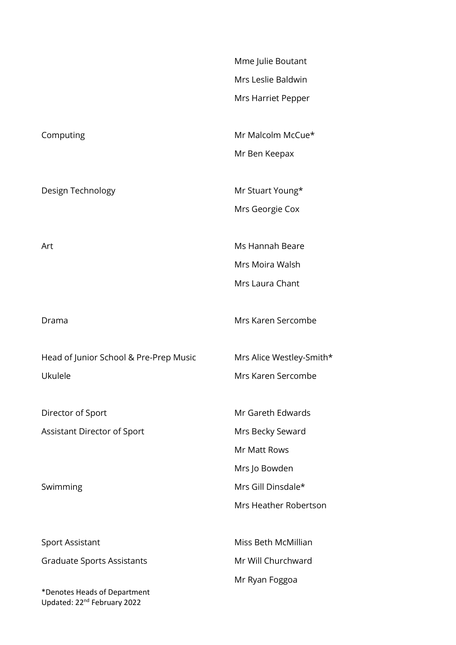|                                                                         | Mme Julie Boutant<br>Mrs Leslie Baldwin |
|-------------------------------------------------------------------------|-----------------------------------------|
|                                                                         |                                         |
|                                                                         | Mrs Harriet Pepper                      |
| Computing                                                               | Mr Malcolm McCue*                       |
|                                                                         | Mr Ben Keepax                           |
| Design Technology                                                       | Mr Stuart Young*                        |
|                                                                         | Mrs Georgie Cox                         |
| Art                                                                     | Ms Hannah Beare                         |
|                                                                         | Mrs Moira Walsh                         |
|                                                                         | Mrs Laura Chant                         |
| Drama                                                                   | Mrs Karen Sercombe                      |
| Head of Junior School & Pre-Prep Music                                  | Mrs Alice Westley-Smith*                |
| Ukulele                                                                 | Mrs Karen Sercombe                      |
| Director of Sport                                                       | Mr Gareth Edwards                       |
| Assistant Director of Sport                                             | Mrs Becky Seward                        |
|                                                                         | Mr Matt Rows                            |
|                                                                         | Mrs Jo Bowden                           |
| Swimming                                                                | Mrs Gill Dinsdale*                      |
|                                                                         | Mrs Heather Robertson                   |
| <b>Sport Assistant</b>                                                  | Miss Beth McMillian                     |
| <b>Graduate Sports Assistants</b>                                       | Mr Will Churchward                      |
|                                                                         | Mr Ryan Foggoa                          |
| *Denotes Heads of Department<br>Updated: 22 <sup>nd</sup> February 2022 |                                         |